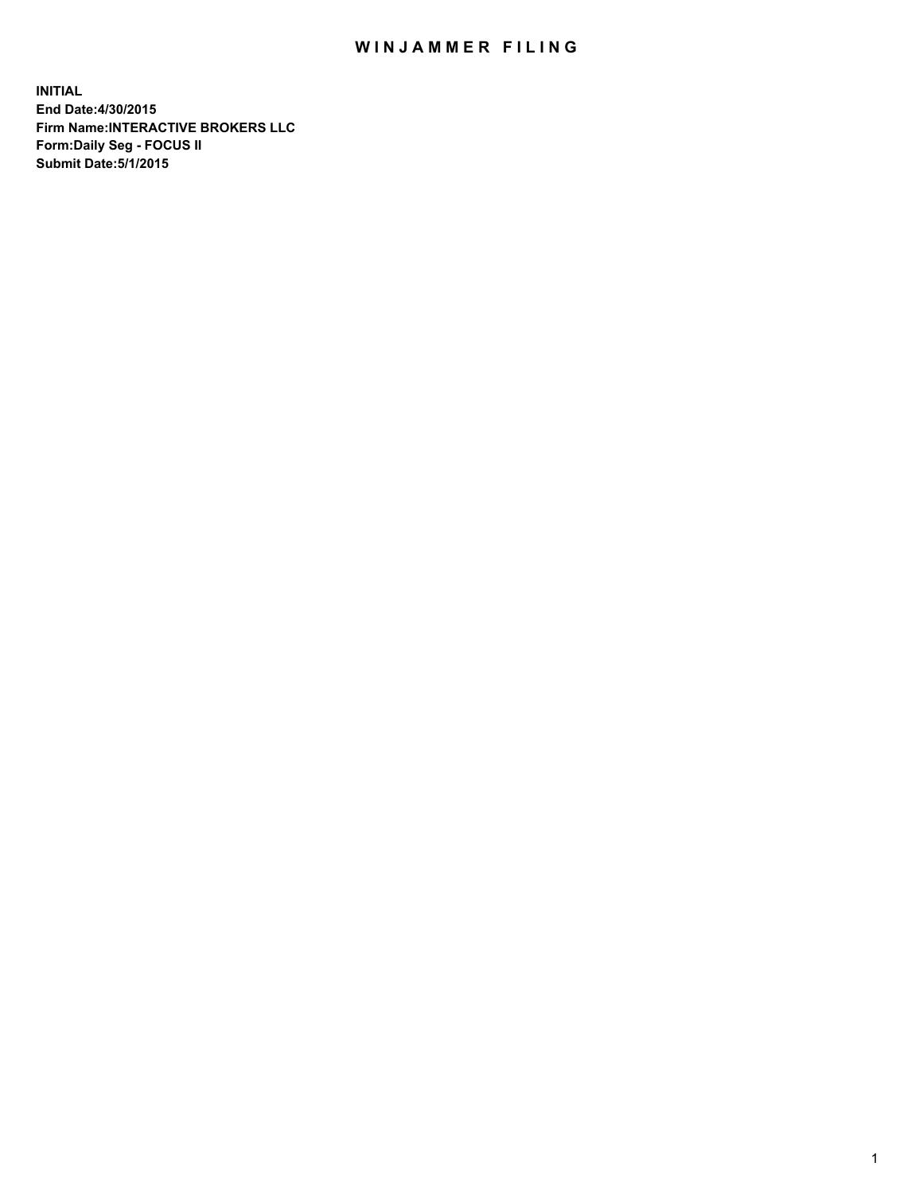## WIN JAMMER FILING

**INITIAL End Date:4/30/2015 Firm Name:INTERACTIVE BROKERS LLC Form:Daily Seg - FOCUS II Submit Date:5/1/2015**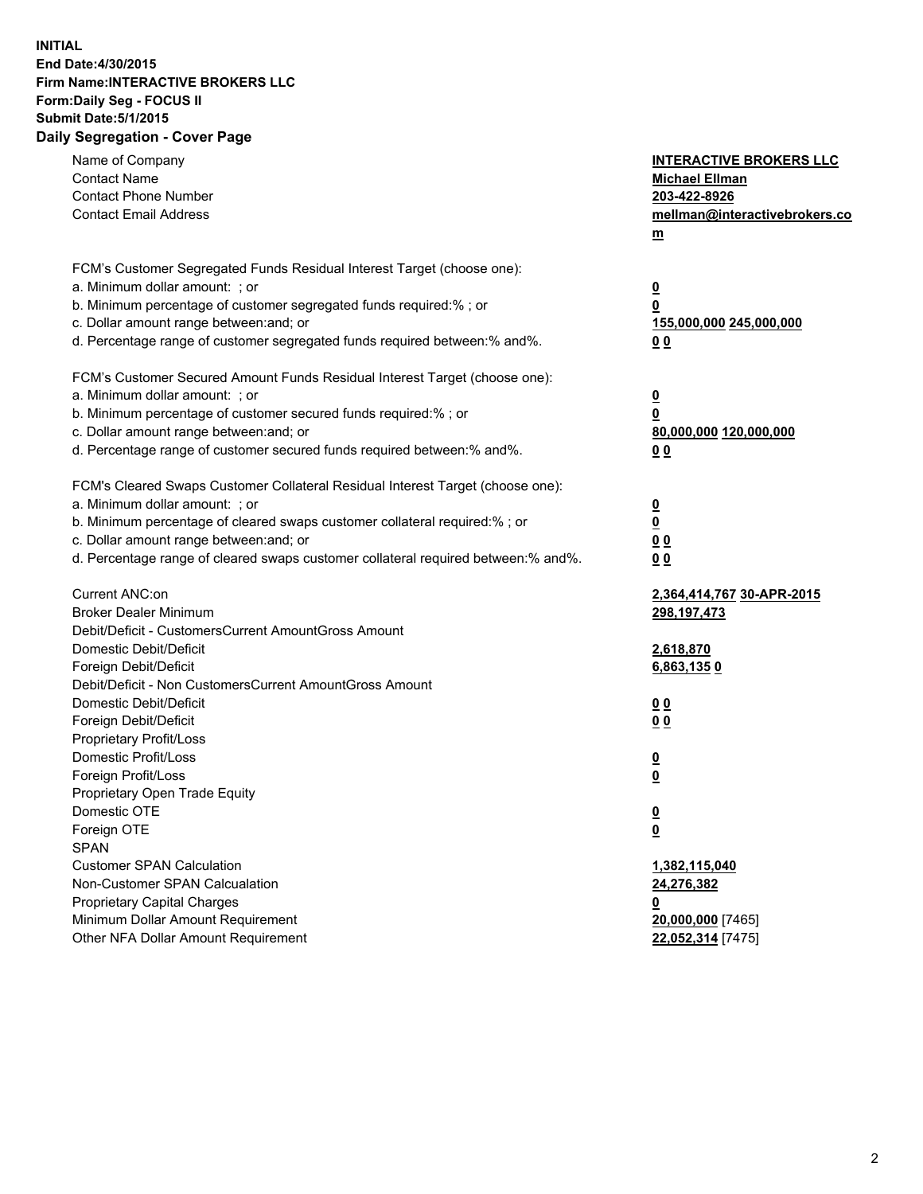## **INITIAL End Date:4/30/2015 Firm Name:INTERACTIVE BROKERS LLC Form:Daily Seg - FOCUS II Submit Date:5/1/2015 Daily Segregation - Cover Page**

| Name of Company<br><b>Contact Name</b><br><b>Contact Phone Number</b><br><b>Contact Email Address</b>                                                                                                                                                                                                                          | <b>INTERACTIVE BROKERS LLC</b><br><b>Michael Ellman</b><br>203-422-8926<br>mellman@interactivebrokers.co<br>m |
|--------------------------------------------------------------------------------------------------------------------------------------------------------------------------------------------------------------------------------------------------------------------------------------------------------------------------------|---------------------------------------------------------------------------------------------------------------|
| FCM's Customer Segregated Funds Residual Interest Target (choose one):<br>a. Minimum dollar amount: ; or<br>b. Minimum percentage of customer segregated funds required:% ; or<br>c. Dollar amount range between: and; or<br>d. Percentage range of customer segregated funds required between:% and%.                         | $\overline{\mathbf{0}}$<br>0<br>155,000,000 245,000,000<br>00                                                 |
| FCM's Customer Secured Amount Funds Residual Interest Target (choose one):<br>a. Minimum dollar amount: ; or<br>b. Minimum percentage of customer secured funds required:% ; or<br>c. Dollar amount range between: and; or<br>d. Percentage range of customer secured funds required between:% and%.                           | $\overline{\mathbf{0}}$<br>0<br>80,000,000 120,000,000<br>0 <sub>0</sub>                                      |
| FCM's Cleared Swaps Customer Collateral Residual Interest Target (choose one):<br>a. Minimum dollar amount: ; or<br>b. Minimum percentage of cleared swaps customer collateral required:% ; or<br>c. Dollar amount range between: and; or<br>d. Percentage range of cleared swaps customer collateral required between:% and%. | $\overline{\mathbf{0}}$<br><u>0</u><br>0 <sub>0</sub><br>0 <sub>0</sub>                                       |
| Current ANC:on<br><b>Broker Dealer Minimum</b><br>Debit/Deficit - CustomersCurrent AmountGross Amount<br>Domestic Debit/Deficit<br>Foreign Debit/Deficit                                                                                                                                                                       | 2,364,414,767 30-APR-2015<br>298, 197, 473<br>2,618,870<br>6,863,1350                                         |
| Debit/Deficit - Non CustomersCurrent AmountGross Amount<br>Domestic Debit/Deficit<br>Foreign Debit/Deficit<br>Proprietary Profit/Loss<br>Domestic Profit/Loss<br>Foreign Profit/Loss                                                                                                                                           | 0 <sub>0</sub><br>0 <sub>0</sub><br>$\overline{\mathbf{0}}$<br>$\overline{\mathbf{0}}$                        |
| Proprietary Open Trade Equity<br>Domestic OTE<br>Foreign OTE<br><b>SPAN</b><br><b>Customer SPAN Calculation</b>                                                                                                                                                                                                                | $\overline{\mathbf{0}}$<br><u>0</u><br>1,382,115,040                                                          |
| Non-Customer SPAN Calcualation<br><b>Proprietary Capital Charges</b><br>Minimum Dollar Amount Requirement<br>Other NFA Dollar Amount Requirement                                                                                                                                                                               | 24,276,382<br><u>0</u><br>20,000,000 [7465]<br>22,052,314 [7475]                                              |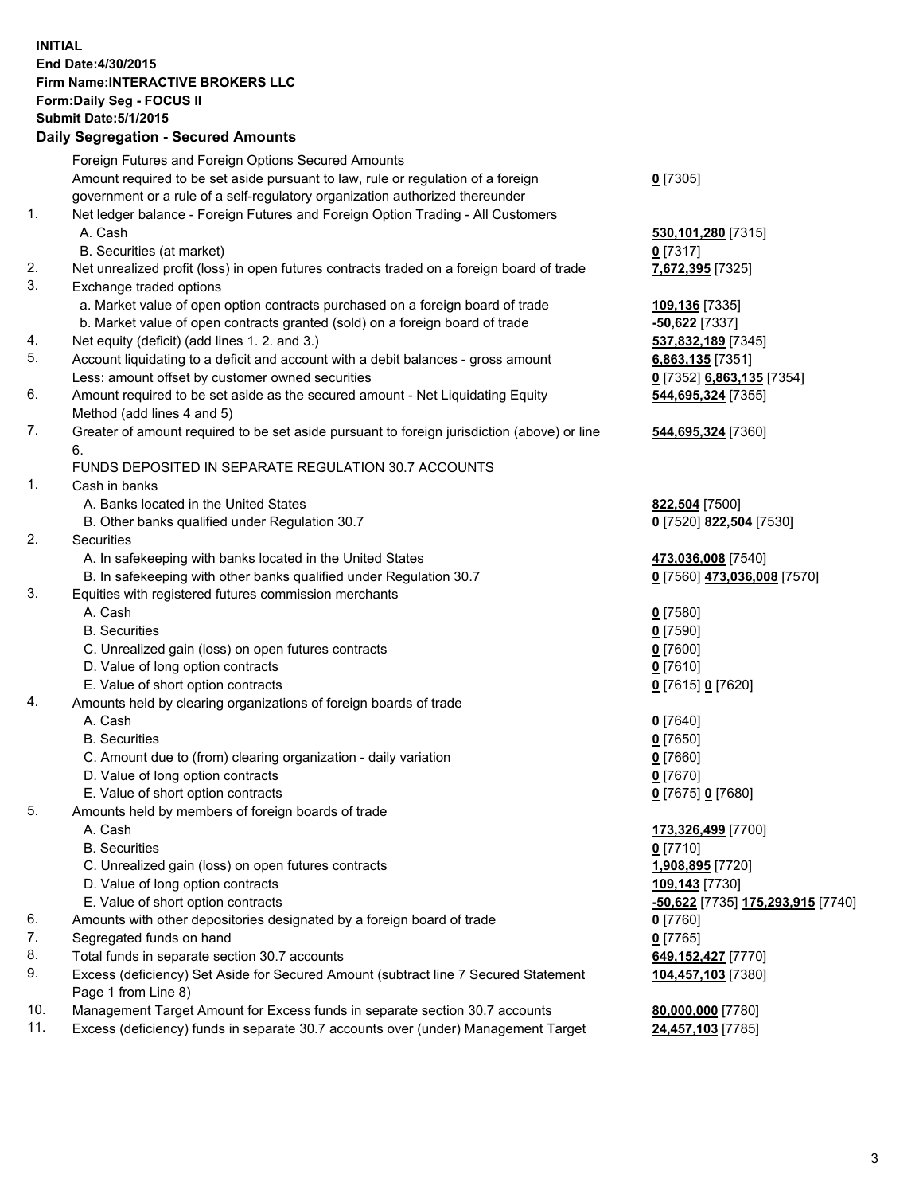## **INITIAL End Date:4/30/2015 Firm Name:INTERACTIVE BROKERS LLC Form:Daily Seg - FOCUS II Submit Date:5/1/2015 Daily Segregation - Secured Amounts**

|     | Foreign Futures and Foreign Options Secured Amounts                                                        |                                   |
|-----|------------------------------------------------------------------------------------------------------------|-----------------------------------|
|     | Amount required to be set aside pursuant to law, rule or regulation of a foreign                           | $0$ [7305]                        |
|     | government or a rule of a self-regulatory organization authorized thereunder                               |                                   |
| 1.  | Net ledger balance - Foreign Futures and Foreign Option Trading - All Customers                            |                                   |
|     | A. Cash                                                                                                    | 530,101,280 [7315]                |
|     | B. Securities (at market)                                                                                  | $0$ [7317]                        |
| 2.  | Net unrealized profit (loss) in open futures contracts traded on a foreign board of trade                  | 7,672,395 [7325]                  |
| 3.  | Exchange traded options                                                                                    |                                   |
|     | a. Market value of open option contracts purchased on a foreign board of trade                             | 109,136 [7335]                    |
|     | b. Market value of open contracts granted (sold) on a foreign board of trade                               | <b>-50,622</b> [7337]             |
| 4.  | Net equity (deficit) (add lines 1. 2. and 3.)                                                              | 537,832,189 [7345]                |
| 5.  | Account liquidating to a deficit and account with a debit balances - gross amount                          | 6,863,135 [7351]                  |
|     | Less: amount offset by customer owned securities                                                           | 0 [7352] 6,863,135 [7354]         |
| 6.  | Amount required to be set aside as the secured amount - Net Liquidating Equity                             | 544,695,324 [7355]                |
|     | Method (add lines 4 and 5)                                                                                 |                                   |
| 7.  | Greater of amount required to be set aside pursuant to foreign jurisdiction (above) or line                | 544,695,324 [7360]                |
|     | 6.                                                                                                         |                                   |
|     | FUNDS DEPOSITED IN SEPARATE REGULATION 30.7 ACCOUNTS                                                       |                                   |
| 1.  | Cash in banks                                                                                              |                                   |
|     | A. Banks located in the United States                                                                      | 822,504 [7500]                    |
|     | B. Other banks qualified under Regulation 30.7                                                             | 0 [7520] 822,504 [7530]           |
| 2.  | Securities                                                                                                 |                                   |
|     | A. In safekeeping with banks located in the United States                                                  | 473,036,008 [7540]                |
|     | B. In safekeeping with other banks qualified under Regulation 30.7                                         | 0 [7560] 473,036,008 [7570]       |
| 3.  | Equities with registered futures commission merchants                                                      |                                   |
|     | A. Cash                                                                                                    | $0$ [7580]                        |
|     | <b>B.</b> Securities                                                                                       | $0$ [7590]                        |
|     | C. Unrealized gain (loss) on open futures contracts                                                        | $0$ [7600]                        |
|     | D. Value of long option contracts                                                                          | $0$ [7610]                        |
|     | E. Value of short option contracts                                                                         | 0 [7615] 0 [7620]                 |
| 4.  | Amounts held by clearing organizations of foreign boards of trade                                          |                                   |
|     | A. Cash                                                                                                    | $Q$ [7640]                        |
|     | <b>B.</b> Securities                                                                                       | $0$ [7650]                        |
|     | C. Amount due to (from) clearing organization - daily variation                                            | $0$ [7660]                        |
|     | D. Value of long option contracts                                                                          | $0$ [7670]                        |
|     | E. Value of short option contracts                                                                         | 0 [7675] 0 [7680]                 |
| 5.  | Amounts held by members of foreign boards of trade                                                         |                                   |
|     | A. Cash                                                                                                    | 173,326,499 [7700]                |
|     | <b>B.</b> Securities                                                                                       | $0$ [7710]                        |
|     | C. Unrealized gain (loss) on open futures contracts                                                        | 1,908,895 [7720]                  |
|     | D. Value of long option contracts                                                                          | 109,143 [7730]                    |
|     | E. Value of short option contracts                                                                         | -50,622 [7735] 175,293,915 [7740] |
| 6.  | Amounts with other depositories designated by a foreign board of trade                                     | $0$ [7760]                        |
| 7.  | Segregated funds on hand                                                                                   | $0$ [7765]                        |
| 8.  | Total funds in separate section 30.7 accounts                                                              | 649,152,427 [7770]                |
| 9.  | Excess (deficiency) Set Aside for Secured Amount (subtract line 7 Secured Statement<br>Page 1 from Line 8) | 104,457,103 [7380]                |
| 10. | Management Target Amount for Excess funds in separate section 30.7 accounts                                | 80,000,000 [7780]                 |
| 11. | Excess (deficiency) funds in separate 30.7 accounts over (under) Management Target                         | 24,457,103 [7785]                 |
|     |                                                                                                            |                                   |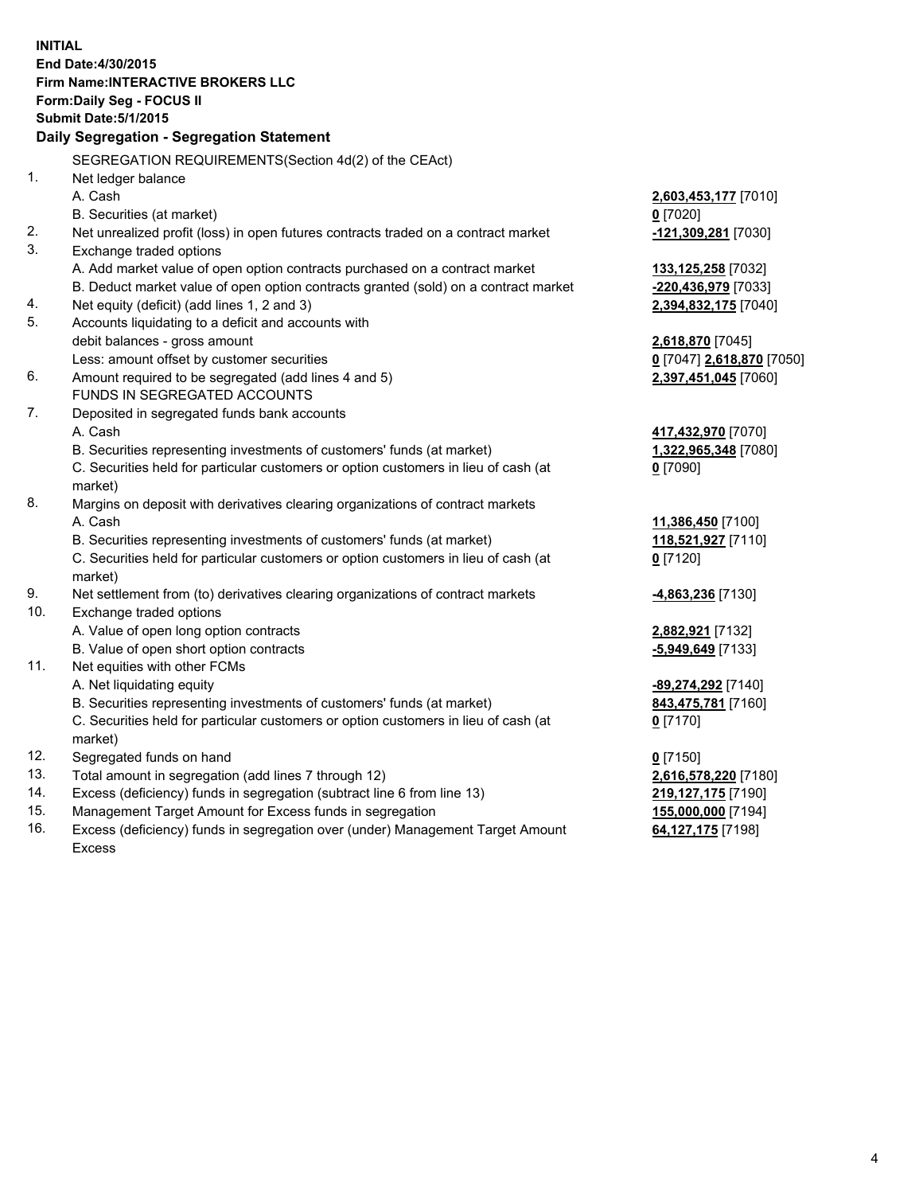**INITIAL End Date:4/30/2015 Firm Name:INTERACTIVE BROKERS LLC Form:Daily Seg - FOCUS II Submit Date:5/1/2015 Daily Segregation - Segregation Statement** SEGREGATION REQUIREMENTS(Section 4d(2) of the CEAct) 1. Net ledger balance A. Cash **2,603,453,177** [7010] B. Securities (at market) **0** [7020] 2. Net unrealized profit (loss) in open futures contracts traded on a contract market **-121,309,281** [7030] 3. Exchange traded options A. Add market value of open option contracts purchased on a contract market **133,125,258** [7032] B. Deduct market value of open option contracts granted (sold) on a contract market **-220,436,979** [7033] 4. Net equity (deficit) (add lines 1, 2 and 3) **2,394,832,175** [7040] 5. Accounts liquidating to a deficit and accounts with debit balances - gross amount **2,618,870** [7045] Less: amount offset by customer securities **0** [7047] **2,618,870** [7050] 6. Amount required to be segregated (add lines 4 and 5) **2,397,451,045** [7060] FUNDS IN SEGREGATED ACCOUNTS 7. Deposited in segregated funds bank accounts A. Cash **417,432,970** [7070] B. Securities representing investments of customers' funds (at market) **1,322,965,348** [7080] C. Securities held for particular customers or option customers in lieu of cash (at market) **0** [7090] 8. Margins on deposit with derivatives clearing organizations of contract markets A. Cash **11,386,450** [7100] B. Securities representing investments of customers' funds (at market) **118,521,927** [7110] C. Securities held for particular customers or option customers in lieu of cash (at market) **0** [7120] 9. Net settlement from (to) derivatives clearing organizations of contract markets **-4,863,236** [7130] 10. Exchange traded options A. Value of open long option contracts **2,882,921** [7132] B. Value of open short option contracts **-5,949,649** [7133] 11. Net equities with other FCMs A. Net liquidating equity **-89,274,292** [7140] B. Securities representing investments of customers' funds (at market) **843,475,781** [7160] C. Securities held for particular customers or option customers in lieu of cash (at market) **0** [7170] 12. Segregated funds on hand **0** [7150] 13. Total amount in segregation (add lines 7 through 12) **2,616,578,220** [7180] 14. Excess (deficiency) funds in segregation (subtract line 6 from line 13) **219,127,175** [7190] 15. Management Target Amount for Excess funds in segregation **155,000,000** [7194]

16. Excess (deficiency) funds in segregation over (under) Management Target Amount Excess

**64,127,175** [7198]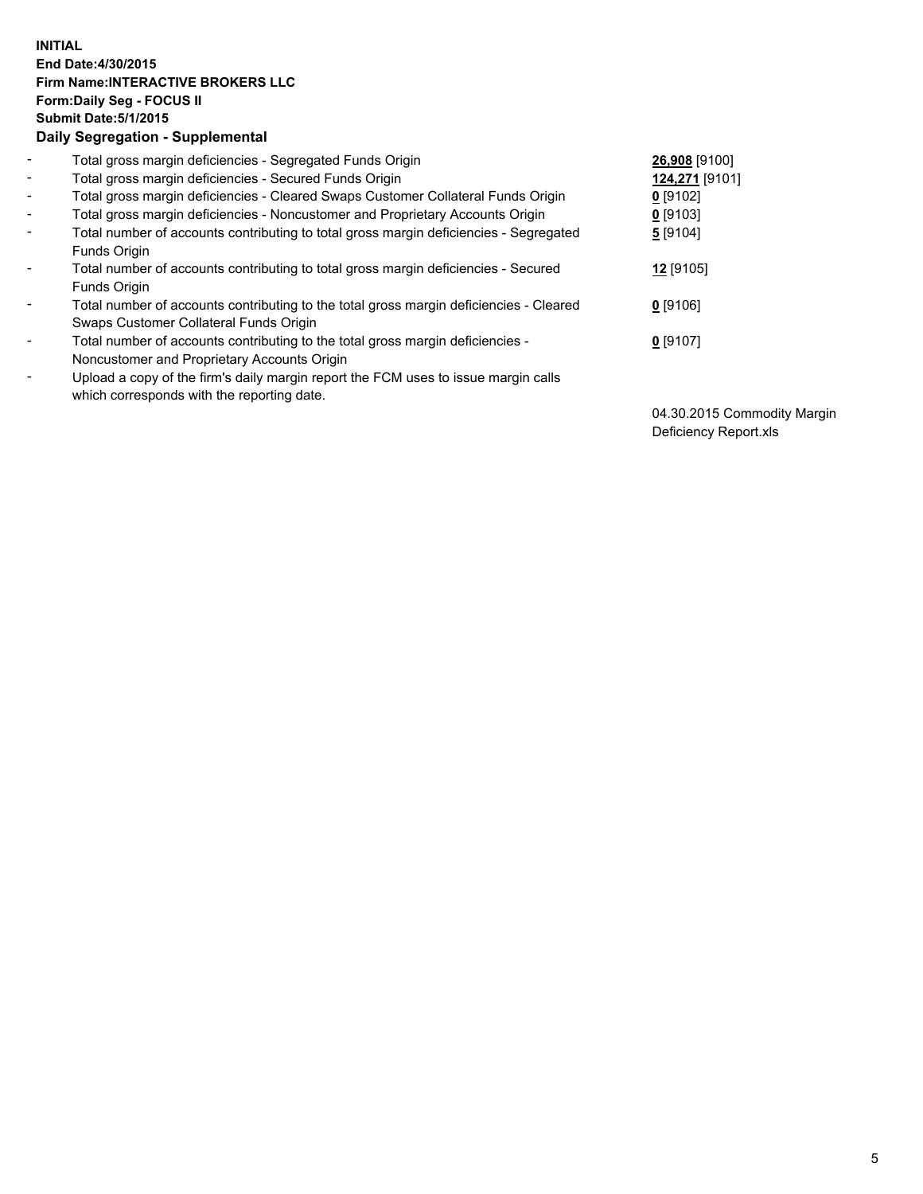## **INITIAL End Date:4/30/2015 Firm Name:INTERACTIVE BROKERS LLC Form:Daily Seg - FOCUS II Submit Date:5/1/2015 Daily Segregation - Supplemental**

| $\blacksquare$           | Total gross margin deficiencies - Segregated Funds Origin                              | 26,908 [9100]  |
|--------------------------|----------------------------------------------------------------------------------------|----------------|
| $\sim$                   | Total gross margin deficiencies - Secured Funds Origin                                 | 124,271 [9101] |
| $\blacksquare$           | Total gross margin deficiencies - Cleared Swaps Customer Collateral Funds Origin       | $0$ [9102]     |
| $\blacksquare$           | Total gross margin deficiencies - Noncustomer and Proprietary Accounts Origin          | $0$ [9103]     |
| $\blacksquare$           | Total number of accounts contributing to total gross margin deficiencies - Segregated  | 5 [9104]       |
|                          | Funds Origin                                                                           |                |
| $\blacksquare$           | Total number of accounts contributing to total gross margin deficiencies - Secured     | 12 [9105]      |
|                          | <b>Funds Origin</b>                                                                    |                |
| $\blacksquare$           | Total number of accounts contributing to the total gross margin deficiencies - Cleared | $0$ [9106]     |
|                          | Swaps Customer Collateral Funds Origin                                                 |                |
| $\overline{\phantom{a}}$ | Total number of accounts contributing to the total gross margin deficiencies -         | $0$ [9107]     |
|                          | Noncustomer and Proprietary Accounts Origin                                            |                |
| $\overline{\phantom{a}}$ | Upload a copy of the firm's daily margin report the FCM uses to issue margin calls     |                |
|                          | which corresponds with the reporting date.                                             |                |

04.30.2015 Commodity Margin Deficiency Report.xls